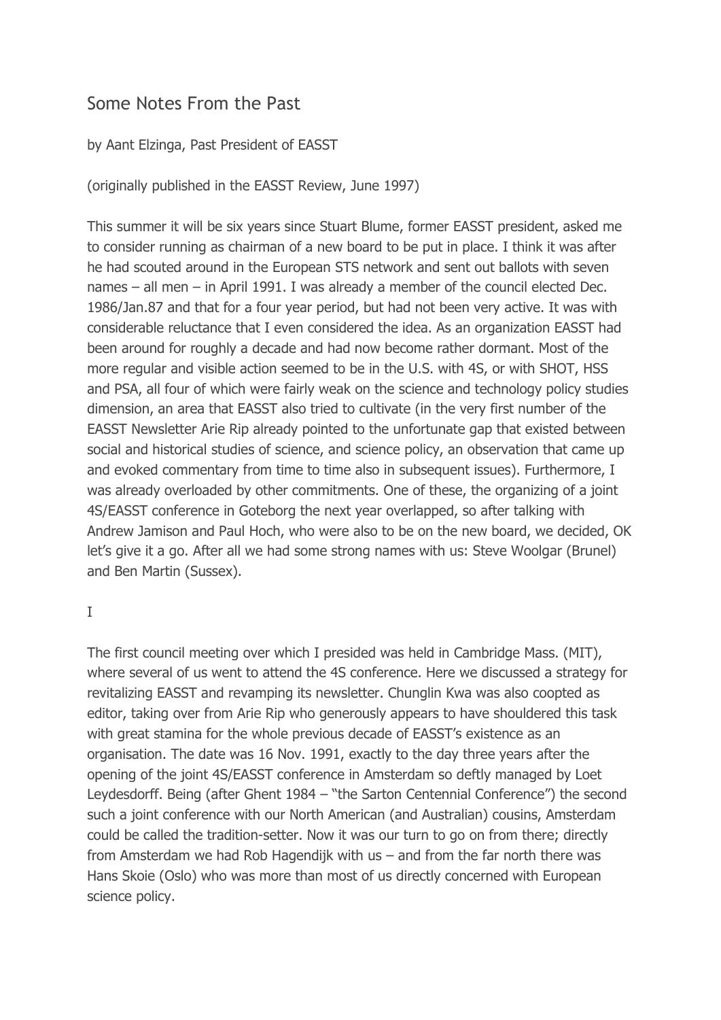## Some Notes From the Past

## by Aant Elzinga, Past President of EASST

(originally published in the EASST Review, June 1997)

This summer it will be six years since Stuart Blume, former EASST president, asked me to consider running as chairman of a new board to be put in place. I think it was after he had scouted around in the European STS network and sent out ballots with seven names – all men – in April 1991. I was already a member of the council elected Dec. 1986/Jan.87 and that for a four year period, but had not been very active. It was with considerable reluctance that I even considered the idea. As an organization EASST had been around for roughly a decade and had now become rather dormant. Most of the more regular and visible action seemed to be in the U.S. with 4S, or with SHOT, HSS and PSA, all four of which were fairly weak on the science and technology policy studies dimension, an area that EASST also tried to cultivate (in the very first number of the EASST Newsletter Arie Rip already pointed to the unfortunate gap that existed between social and historical studies of science, and science policy, an observation that came up and evoked commentary from time to time also in subsequent issues). Furthermore, I was already overloaded by other commitments. One of these, the organizing of a joint 4S/EASST conference in Goteborg the next year overlapped, so after talking with Andrew Jamison and Paul Hoch, who were also to be on the new board, we decided, OK let's give it a go. After all we had some strong names with us: Steve Woolgar (Brunel) and Ben Martin (Sussex).

I

The first council meeting over which I presided was held in Cambridge Mass. (MIT), where several of us went to attend the 4S conference. Here we discussed a strategy for revitalizing EASST and revamping its newsletter. Chunglin Kwa was also coopted as editor, taking over from Arie Rip who generously appears to have shouldered this task with great stamina for the whole previous decade of EASST's existence as an organisation. The date was 16 Nov. 1991, exactly to the day three years after the opening of the joint 4S/EASST conference in Amsterdam so deftly managed by Loet Leydesdorff. Being (after Ghent 1984 – "the Sarton Centennial Conference") the second such a joint conference with our North American (and Australian) cousins, Amsterdam could be called the tradition-setter. Now it was our turn to go on from there; directly from Amsterdam we had Rob Hagendijk with us – and from the far north there was Hans Skoie (Oslo) who was more than most of us directly concerned with European science policy.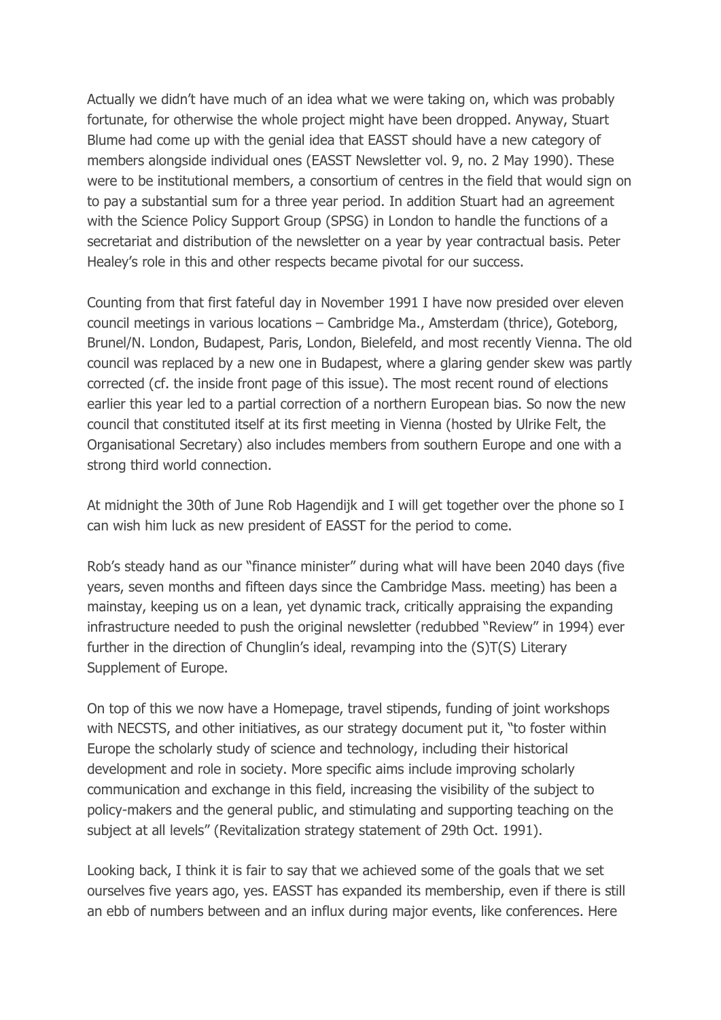Actually we didn't have much of an idea what we were taking on, which was probably fortunate, for otherwise the whole project might have been dropped. Anyway, Stuart Blume had come up with the genial idea that EASST should have a new category of members alongside individual ones (EASST Newsletter vol. 9, no. 2 May 1990). These were to be institutional members, a consortium of centres in the field that would sign on to pay a substantial sum for a three year period. In addition Stuart had an agreement with the Science Policy Support Group (SPSG) in London to handle the functions of a secretariat and distribution of the newsletter on a year by year contractual basis. Peter Healey's role in this and other respects became pivotal for our success.

Counting from that first fateful day in November 1991 I have now presided over eleven council meetings in various locations – Cambridge Ma., Amsterdam (thrice), Goteborg, Brunel/N. London, Budapest, Paris, London, Bielefeld, and most recently Vienna. The old council was replaced by a new one in Budapest, where a glaring gender skew was partly corrected (cf. the inside front page of this issue). The most recent round of elections earlier this year led to a partial correction of a northern European bias. So now the new council that constituted itself at its first meeting in Vienna (hosted by Ulrike Felt, the Organisational Secretary) also includes members from southern Europe and one with a strong third world connection.

At midnight the 30th of June Rob Hagendijk and I will get together over the phone so I can wish him luck as new president of EASST for the period to come.

Rob's steady hand as our "finance minister" during what will have been 2040 days (five years, seven months and fifteen days since the Cambridge Mass. meeting) has been a mainstay, keeping us on a lean, yet dynamic track, critically appraising the expanding infrastructure needed to push the original newsletter (redubbed "Review" in 1994) ever further in the direction of Chunglin's ideal, revamping into the (S)T(S) Literary Supplement of Europe.

On top of this we now have a Homepage, travel stipends, funding of joint workshops with NECSTS, and other initiatives, as our strategy document put it, "to foster within Europe the scholarly study of science and technology, including their historical development and role in society. More specific aims include improving scholarly communication and exchange in this field, increasing the visibility of the subject to policy-makers and the general public, and stimulating and supporting teaching on the subject at all levels" (Revitalization strategy statement of 29th Oct. 1991).

Looking back, I think it is fair to say that we achieved some of the goals that we set ourselves five years ago, yes. EASST has expanded its membership, even if there is still an ebb of numbers between and an influx during major events, like conferences. Here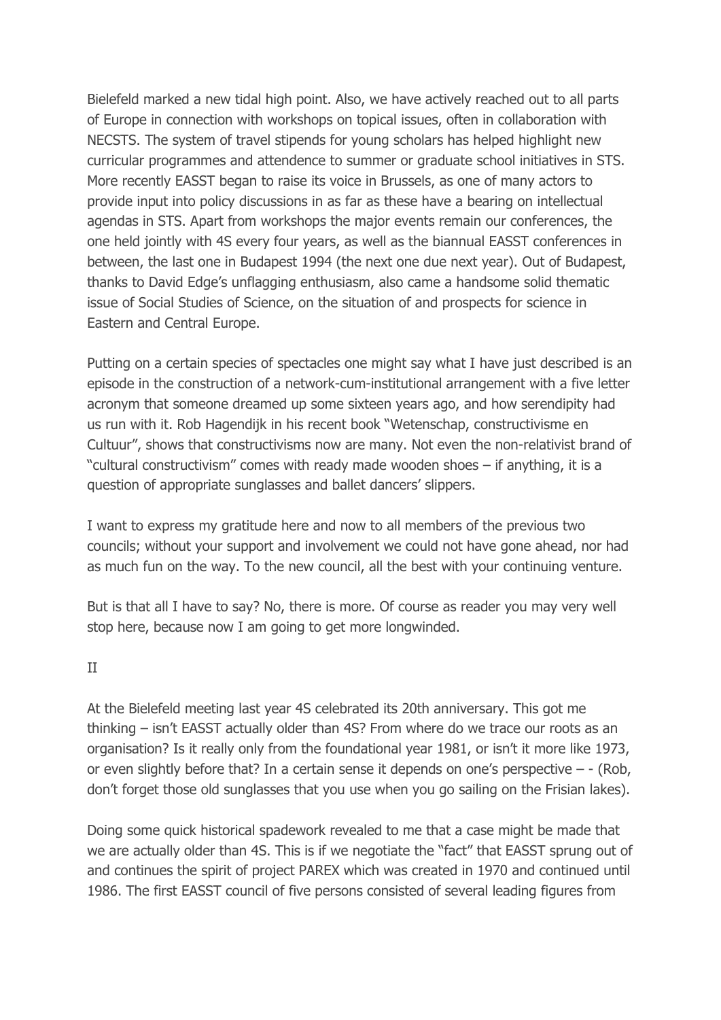Bielefeld marked a new tidal high point. Also, we have actively reached out to all parts of Europe in connection with workshops on topical issues, often in collaboration with NECSTS. The system of travel stipends for young scholars has helped highlight new curricular programmes and attendence to summer or graduate school initiatives in STS. More recently EASST began to raise its voice in Brussels, as one of many actors to provide input into policy discussions in as far as these have a bearing on intellectual agendas in STS. Apart from workshops the major events remain our conferences, the one held jointly with 4S every four years, as well as the biannual EASST conferences in between, the last one in Budapest 1994 (the next one due next year). Out of Budapest, thanks to David Edge's unflagging enthusiasm, also came a handsome solid thematic issue of Social Studies of Science, on the situation of and prospects for science in Eastern and Central Europe.

Putting on a certain species of spectacles one might say what I have just described is an episode in the construction of a network-cum-institutional arrangement with a five letter acronym that someone dreamed up some sixteen years ago, and how serendipity had us run with it. Rob Hagendijk in his recent book "Wetenschap, constructivisme en Cultuur", shows that constructivisms now are many. Not even the non-relativist brand of "cultural constructivism" comes with ready made wooden shoes – if anything, it is a question of appropriate sunglasses and ballet dancers' slippers.

I want to express my gratitude here and now to all members of the previous two councils; without your support and involvement we could not have gone ahead, nor had as much fun on the way. To the new council, all the best with your continuing venture.

But is that all I have to say? No, there is more. Of course as reader you may very well stop here, because now I am going to get more longwinded.

## II

At the Bielefeld meeting last year 4S celebrated its 20th anniversary. This got me thinking – isn't EASST actually older than 4S? From where do we trace our roots as an organisation? Is it really only from the foundational year 1981, or isn't it more like 1973, or even slightly before that? In a certain sense it depends on one's perspective – - (Rob, don't forget those old sunglasses that you use when you go sailing on the Frisian lakes).

Doing some quick historical spadework revealed to me that a case might be made that we are actually older than 4S. This is if we negotiate the "fact" that EASST sprung out of and continues the spirit of project PAREX which was created in 1970 and continued until 1986. The first EASST council of five persons consisted of several leading figures from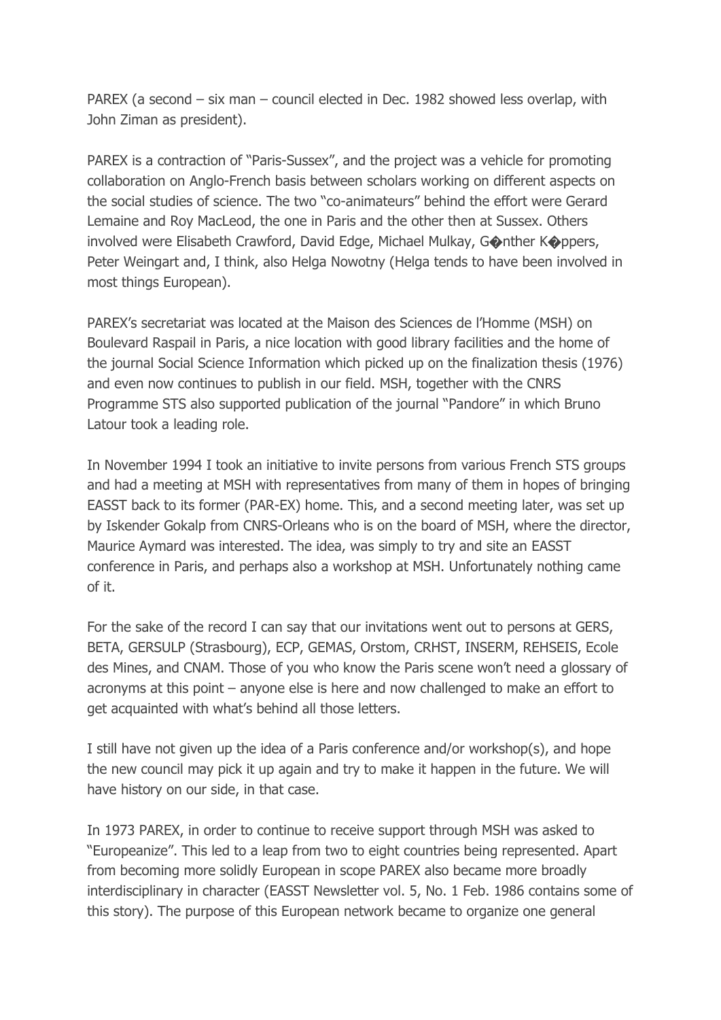PAREX (a second – six man – council elected in Dec. 1982 showed less overlap, with John Ziman as president).

PAREX is a contraction of "Paris-Sussex", and the project was a vehicle for promoting collaboration on Anglo-French basis between scholars working on different aspects on the social studies of science. The two "co-animateurs" behind the effort were Gerard Lemaine and Roy MacLeod, the one in Paris and the other then at Sussex. Others involved were Elisabeth Crawford, David Edge, Michael Mulkay, G�nther K�ppers, Peter Weingart and, I think, also Helga Nowotny (Helga tends to have been involved in most things European).

PAREX's secretariat was located at the Maison des Sciences de l'Homme (MSH) on Boulevard Raspail in Paris, a nice location with good library facilities and the home of the journal Social Science Information which picked up on the finalization thesis (1976) and even now continues to publish in our field. MSH, together with the CNRS Programme STS also supported publication of the journal "Pandore" in which Bruno Latour took a leading role.

In November 1994 I took an initiative to invite persons from various French STS groups and had a meeting at MSH with representatives from many of them in hopes of bringing EASST back to its former (PAR-EX) home. This, and a second meeting later, was set up by Iskender Gokalp from CNRS-Orleans who is on the board of MSH, where the director, Maurice Aymard was interested. The idea, was simply to try and site an EASST conference in Paris, and perhaps also a workshop at MSH. Unfortunately nothing came of it.

For the sake of the record I can say that our invitations went out to persons at GERS, BETA, GERSULP (Strasbourg), ECP, GEMAS, Orstom, CRHST, INSERM, REHSEIS, Ecole des Mines, and CNAM. Those of you who know the Paris scene won't need a glossary of acronyms at this point – anyone else is here and now challenged to make an effort to get acquainted with what's behind all those letters.

I still have not given up the idea of a Paris conference and/or workshop(s), and hope the new council may pick it up again and try to make it happen in the future. We will have history on our side, in that case.

In 1973 PAREX, in order to continue to receive support through MSH was asked to "Europeanize". This led to a leap from two to eight countries being represented. Apart from becoming more solidly European in scope PAREX also became more broadly interdisciplinary in character (EASST Newsletter vol. 5, No. 1 Feb. 1986 contains some of this story). The purpose of this European network became to organize one general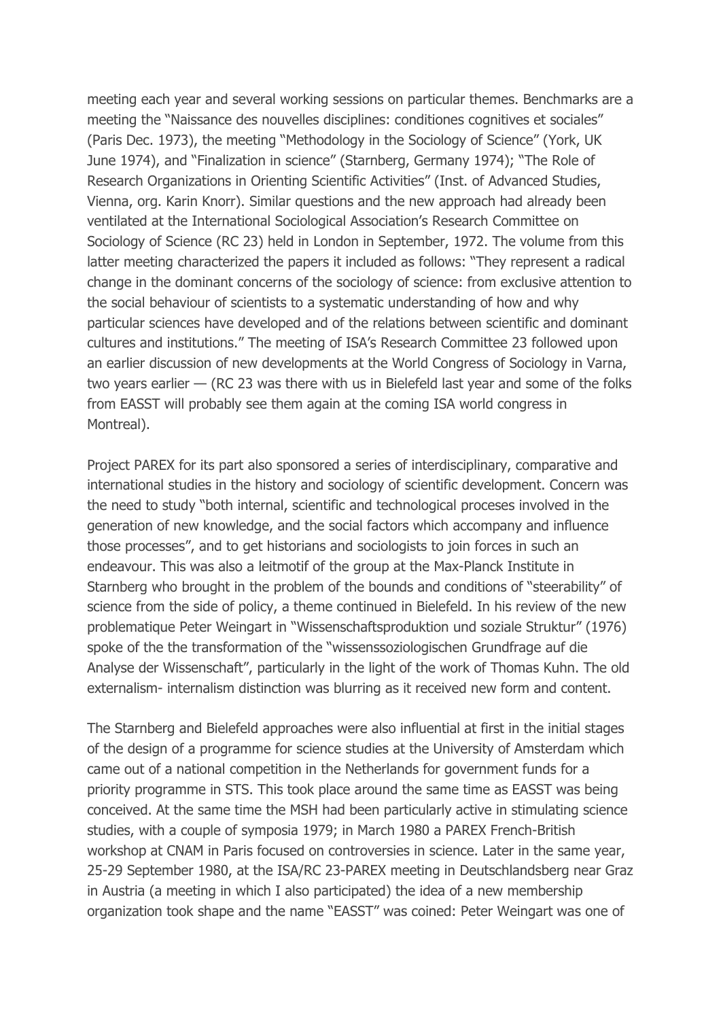meeting each year and several working sessions on particular themes. Benchmarks are a meeting the "Naissance des nouvelles disciplines: conditiones cognitives et sociales" (Paris Dec. 1973), the meeting "Methodology in the Sociology of Science" (York, UK June 1974), and "Finalization in science" (Starnberg, Germany 1974); "The Role of Research Organizations in Orienting Scientific Activities" (Inst. of Advanced Studies, Vienna, org. Karin Knorr). Similar questions and the new approach had already been ventilated at the International Sociological Association's Research Committee on Sociology of Science (RC 23) held in London in September, 1972. The volume from this latter meeting characterized the papers it included as follows: "They represent a radical change in the dominant concerns of the sociology of science: from exclusive attention to the social behaviour of scientists to a systematic understanding of how and why particular sciences have developed and of the relations between scientific and dominant cultures and institutions." The meeting of ISA's Research Committee 23 followed upon an earlier discussion of new developments at the World Congress of Sociology in Varna, two years earlier — (RC 23 was there with us in Bielefeld last year and some of the folks from EASST will probably see them again at the coming ISA world congress in Montreal).

Project PAREX for its part also sponsored a series of interdisciplinary, comparative and international studies in the history and sociology of scientific development. Concern was the need to study "both internal, scientific and technological proceses involved in the generation of new knowledge, and the social factors which accompany and influence those processes", and to get historians and sociologists to join forces in such an endeavour. This was also a leitmotif of the group at the Max-Planck Institute in Starnberg who brought in the problem of the bounds and conditions of "steerability" of science from the side of policy, a theme continued in Bielefeld. In his review of the new problematique Peter Weingart in "Wissenschaftsproduktion und soziale Struktur" (1976) spoke of the the transformation of the "wissenssoziologischen Grundfrage auf die Analyse der Wissenschaft", particularly in the light of the work of Thomas Kuhn. The old externalism- internalism distinction was blurring as it received new form and content.

The Starnberg and Bielefeld approaches were also influential at first in the initial stages of the design of a programme for science studies at the University of Amsterdam which came out of a national competition in the Netherlands for government funds for a priority programme in STS. This took place around the same time as EASST was being conceived. At the same time the MSH had been particularly active in stimulating science studies, with a couple of symposia 1979; in March 1980 a PAREX French-British workshop at CNAM in Paris focused on controversies in science. Later in the same year, 25-29 September 1980, at the ISA/RC 23-PAREX meeting in Deutschlandsberg near Graz in Austria (a meeting in which I also participated) the idea of a new membership organization took shape and the name "EASST" was coined: Peter Weingart was one of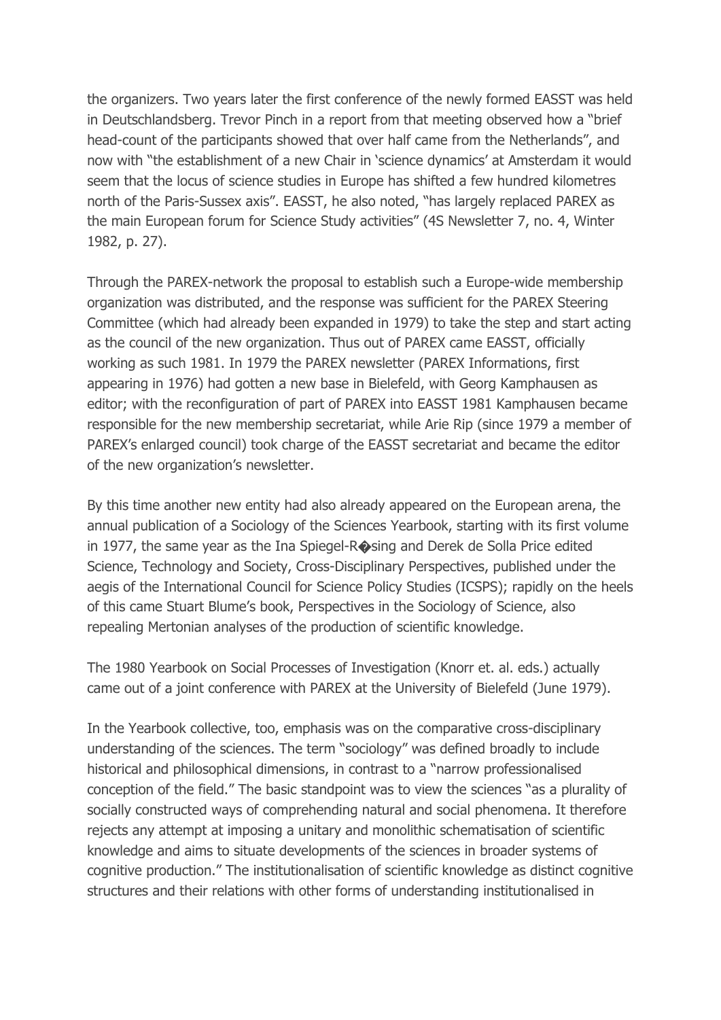the organizers. Two years later the first conference of the newly formed EASST was held in Deutschlandsberg. Trevor Pinch in a report from that meeting observed how a "brief head-count of the participants showed that over half came from the Netherlands", and now with "the establishment of a new Chair in 'science dynamics' at Amsterdam it would seem that the locus of science studies in Europe has shifted a few hundred kilometres north of the Paris-Sussex axis". EASST, he also noted, "has largely replaced PAREX as the main European forum for Science Study activities" (4S Newsletter 7, no. 4, Winter 1982, p. 27).

Through the PAREX-network the proposal to establish such a Europe-wide membership organization was distributed, and the response was sufficient for the PAREX Steering Committee (which had already been expanded in 1979) to take the step and start acting as the council of the new organization. Thus out of PAREX came EASST, officially working as such 1981. In 1979 the PAREX newsletter (PAREX Informations, first appearing in 1976) had gotten a new base in Bielefeld, with Georg Kamphausen as editor; with the reconfiguration of part of PAREX into EASST 1981 Kamphausen became responsible for the new membership secretariat, while Arie Rip (since 1979 a member of PAREX's enlarged council) took charge of the EASST secretariat and became the editor of the new organization's newsletter.

By this time another new entity had also already appeared on the European arena, the annual publication of a Sociology of the Sciences Yearbook, starting with its first volume in 1977, the same year as the Ina Spiegel-R�sing and Derek de Solla Price edited Science, Technology and Society, Cross-Disciplinary Perspectives, published under the aegis of the International Council for Science Policy Studies (ICSPS); rapidly on the heels of this came Stuart Blume's book, Perspectives in the Sociology of Science, also repealing Mertonian analyses of the production of scientific knowledge.

The 1980 Yearbook on Social Processes of Investigation (Knorr et. al. eds.) actually came out of a joint conference with PAREX at the University of Bielefeld (June 1979).

In the Yearbook collective, too, emphasis was on the comparative cross-disciplinary understanding of the sciences. The term "sociology" was defined broadly to include historical and philosophical dimensions, in contrast to a "narrow professionalised conception of the field." The basic standpoint was to view the sciences "as a plurality of socially constructed ways of comprehending natural and social phenomena. It therefore rejects any attempt at imposing a unitary and monolithic schematisation of scientific knowledge and aims to situate developments of the sciences in broader systems of cognitive production." The institutionalisation of scientific knowledge as distinct cognitive structures and their relations with other forms of understanding institutionalised in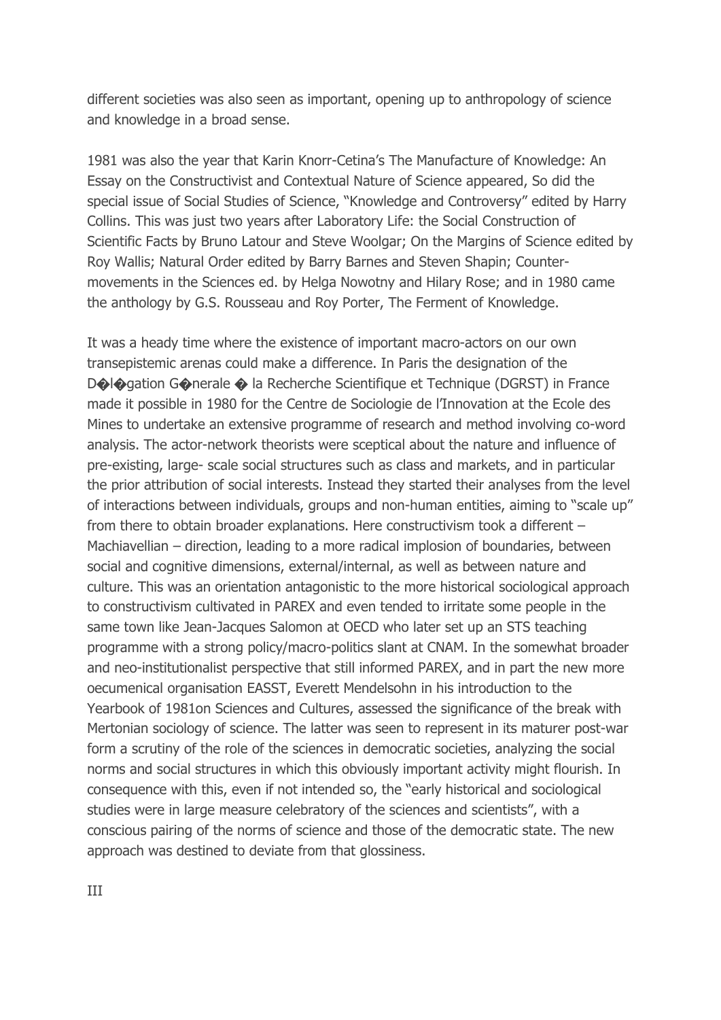different societies was also seen as important, opening up to anthropology of science and knowledge in a broad sense.

1981 was also the year that Karin Knorr-Cetina's The Manufacture of Knowledge: An Essay on the Constructivist and Contextual Nature of Science appeared, So did the special issue of Social Studies of Science, "Knowledge and Controversy" edited by Harry Collins. This was just two years after Laboratory Life: the Social Construction of Scientific Facts by Bruno Latour and Steve Woolgar; On the Margins of Science edited by Roy Wallis; Natural Order edited by Barry Barnes and Steven Shapin; Countermovements in the Sciences ed. by Helga Nowotny and Hilary Rose; and in 1980 came the anthology by G.S. Rousseau and Roy Porter, The Ferment of Knowledge.

It was a heady time where the existence of important macro-actors on our own transepistemic arenas could make a difference. In Paris the designation of the D�l�gation G�nerale � la Recherche Scientifique et Technique (DGRST) in France made it possible in 1980 for the Centre de Sociologie de l'Innovation at the Ecole des Mines to undertake an extensive programme of research and method involving co-word analysis. The actor-network theorists were sceptical about the nature and influence of pre-existing, large- scale social structures such as class and markets, and in particular the prior attribution of social interests. Instead they started their analyses from the level of interactions between individuals, groups and non-human entities, aiming to "scale up" from there to obtain broader explanations. Here constructivism took a different – Machiavellian – direction, leading to a more radical implosion of boundaries, between social and cognitive dimensions, external/internal, as well as between nature and culture. This was an orientation antagonistic to the more historical sociological approach to constructivism cultivated in PAREX and even tended to irritate some people in the same town like Jean-Jacques Salomon at OECD who later set up an STS teaching programme with a strong policy/macro-politics slant at CNAM. In the somewhat broader and neo-institutionalist perspective that still informed PAREX, and in part the new more oecumenical organisation EASST, Everett Mendelsohn in his introduction to the Yearbook of 1981on Sciences and Cultures, assessed the significance of the break with Mertonian sociology of science. The latter was seen to represent in its maturer post-war form a scrutiny of the role of the sciences in democratic societies, analyzing the social norms and social structures in which this obviously important activity might flourish. In consequence with this, even if not intended so, the "early historical and sociological studies were in large measure celebratory of the sciences and scientists", with a conscious pairing of the norms of science and those of the democratic state. The new approach was destined to deviate from that glossiness.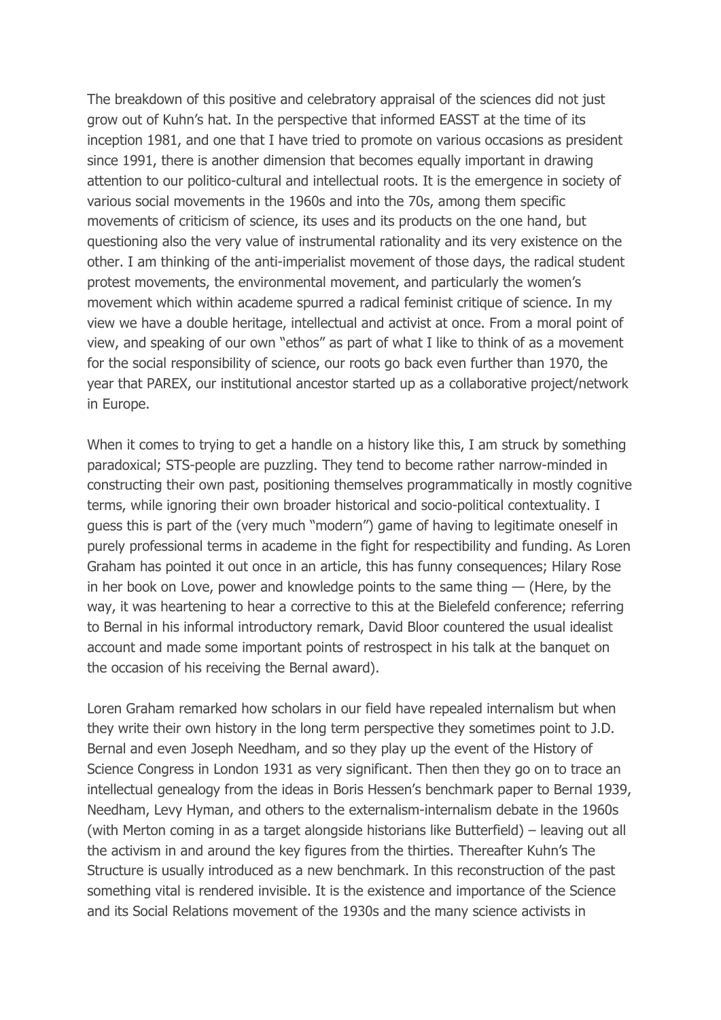The breakdown of this positive and celebratory appraisal of the sciences did not just grow out of Kuhn's hat. In the perspective that informed EASST at the time of its inception 1981, and one that I have tried to promote on various occasions as president since 1991, there is another dimension that becomes equally important in drawing attention to our politico-cultural and intellectual roots. It is the emergence in society of various social movements in the 1960s and into the 70s, among them specific movements of criticism of science, its uses and its products on the one hand, but questioning also the very value of instrumental rationality and its very existence on the other. I am thinking of the anti-imperialist movement of those days, the radical student protest movements, the environmental movement, and particularly the women's movement which within academe spurred a radical feminist critique of science. In my view we have a double heritage, intellectual and activist at once. From a moral point of view, and speaking of our own "ethos" as part of what I like to think of as a movement for the social responsibility of science, our roots go back even further than 1970, the year that PAREX, our institutional ancestor started up as a collaborative project/network in Europe.

When it comes to trying to get a handle on a history like this, I am struck by something paradoxical; STS-people are puzzling. They tend to become rather narrow-minded in constructing their own past, positioning themselves programmatically in mostly cognitive terms, while ignoring their own broader historical and socio-political contextuality. I guess this is part of the (very much "modern") game of having to legitimate oneself in purely professional terms in academe in the fight for respectibility and funding. As Loren Graham has pointed it out once in an article, this has funny consequences; Hilary Rose in her book on Love, power and knowledge points to the same thing  $-$  (Here, by the way, it was heartening to hear a corrective to this at the Bielefeld conference; referring to Bernal in his informal introductory remark, David Bloor countered the usual idealist account and made some important points of restrospect in his talk at the banquet on the occasion of his receiving the Bernal award).

Loren Graham remarked how scholars in our field have repealed internalism but when they write their own history in the long term perspective they sometimes point to J.D. Bernal and even Joseph Needham, and so they play up the event of the History of Science Congress in London 1931 as very significant. Then then they go on to trace an intellectual genealogy from the ideas in Boris Hessen's benchmark paper to Bernal 1939, Needham, Levy Hyman, and others to the externalism-internalism debate in the 1960s (with Merton coming in as a target alongside historians like Butterfield) – leaving out all the activism in and around the key figures from the thirties. Thereafter Kuhn's The Structure is usually introduced as a new benchmark. In this reconstruction of the past something vital is rendered invisible. It is the existence and importance of the Science and its Social Relations movement of the 1930s and the many science activists in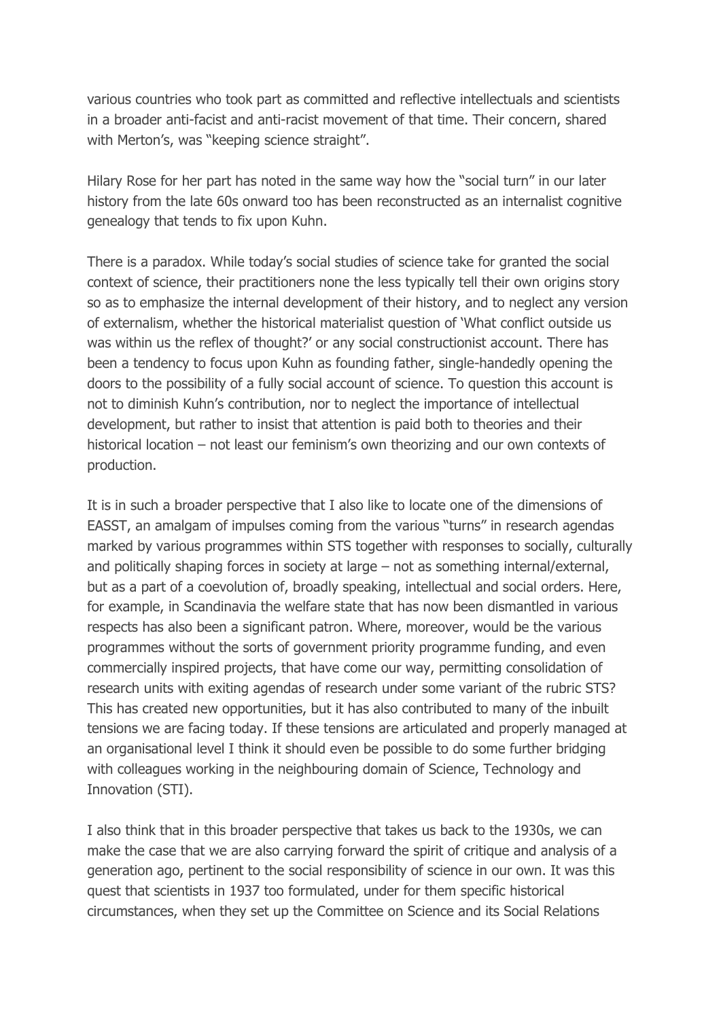various countries who took part as committed and reflective intellectuals and scientists in a broader anti-facist and anti-racist movement of that time. Their concern, shared with Merton's, was "keeping science straight".

Hilary Rose for her part has noted in the same way how the "social turn" in our later history from the late 60s onward too has been reconstructed as an internalist cognitive genealogy that tends to fix upon Kuhn.

There is a paradox. While today's social studies of science take for granted the social context of science, their practitioners none the less typically tell their own origins story so as to emphasize the internal development of their history, and to neglect any version of externalism, whether the historical materialist question of 'What conflict outside us was within us the reflex of thought?' or any social constructionist account. There has been a tendency to focus upon Kuhn as founding father, single-handedly opening the doors to the possibility of a fully social account of science. To question this account is not to diminish Kuhn's contribution, nor to neglect the importance of intellectual development, but rather to insist that attention is paid both to theories and their historical location – not least our feminism's own theorizing and our own contexts of production.

It is in such a broader perspective that I also like to locate one of the dimensions of EASST, an amalgam of impulses coming from the various "turns" in research agendas marked by various programmes within STS together with responses to socially, culturally and politically shaping forces in society at large – not as something internal/external, but as a part of a coevolution of, broadly speaking, intellectual and social orders. Here, for example, in Scandinavia the welfare state that has now been dismantled in various respects has also been a significant patron. Where, moreover, would be the various programmes without the sorts of government priority programme funding, and even commercially inspired projects, that have come our way, permitting consolidation of research units with exiting agendas of research under some variant of the rubric STS? This has created new opportunities, but it has also contributed to many of the inbuilt tensions we are facing today. If these tensions are articulated and properly managed at an organisational level I think it should even be possible to do some further bridging with colleagues working in the neighbouring domain of Science, Technology and Innovation (STI).

I also think that in this broader perspective that takes us back to the 1930s, we can make the case that we are also carrying forward the spirit of critique and analysis of a generation ago, pertinent to the social responsibility of science in our own. It was this quest that scientists in 1937 too formulated, under for them specific historical circumstances, when they set up the Committee on Science and its Social Relations